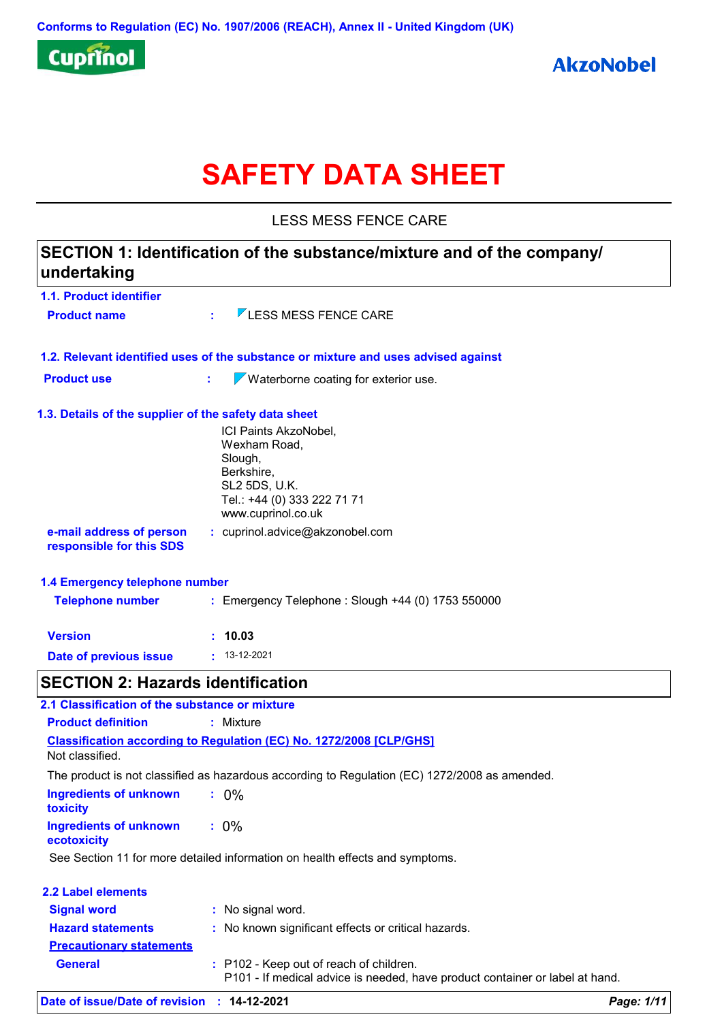

# **SAFETY DATA SHEET**

LESS MESS FENCE CARE

| undertaking                                           | SECTION 1: Identification of the substance/mixture and of the company/                                                                      |            |
|-------------------------------------------------------|---------------------------------------------------------------------------------------------------------------------------------------------|------------|
| 1.1. Product identifier                               |                                                                                                                                             |            |
| <b>Product name</b>                                   | $\nabla$ LESS MESS FENCE CARE                                                                                                               |            |
|                                                       | 1.2. Relevant identified uses of the substance or mixture and uses advised against                                                          |            |
| <b>Product use</b>                                    | $\sqrt{\ }$ Waterborne coating for exterior use.<br>÷.                                                                                      |            |
| 1.3. Details of the supplier of the safety data sheet | ICI Paints AkzoNobel,<br>Wexham Road,<br>Slough,<br>Berkshire,<br><b>SL2 5DS, U.K.</b><br>Tel.: +44 (0) 333 222 71 71<br>www.cuprinol.co.uk |            |
| e-mail address of person<br>responsible for this SDS  | : cuprinol.advice@akzonobel.com                                                                                                             |            |
| 1.4 Emergency telephone number                        |                                                                                                                                             |            |
| <b>Telephone number</b>                               | : Emergency Telephone : Slough +44 (0) 1753 550000                                                                                          |            |
| <b>Version</b>                                        | : 10.03                                                                                                                                     |            |
| Date of previous issue                                | $\cdot$ 13-12-2021                                                                                                                          |            |
| <b>SECTION 2: Hazards identification</b>              |                                                                                                                                             |            |
| 2.1 Classification of the substance or mixture        |                                                                                                                                             |            |
| <b>Product definition</b>                             | : Mixture                                                                                                                                   |            |
|                                                       | <b>Classification according to Regulation (EC) No. 1272/2008 [CLP/GHS]</b>                                                                  |            |
| Not classified.                                       |                                                                                                                                             |            |
|                                                       | The product is not classified as hazardous according to Regulation (EC) 1272/2008 as amended.                                               |            |
| <b>Ingredients of unknown</b><br>toxicity             | $: 0\%$                                                                                                                                     |            |
| <b>Ingredients of unknown</b><br>ecotoxicity          | $: 0\%$                                                                                                                                     |            |
|                                                       | See Section 11 for more detailed information on health effects and symptoms.                                                                |            |
| 2.2 Label elements                                    |                                                                                                                                             |            |
| <b>Signal word</b>                                    | : No signal word.                                                                                                                           |            |
| <b>Hazard statements</b>                              | : No known significant effects or critical hazards.                                                                                         |            |
| <b>Precautionary statements</b>                       |                                                                                                                                             |            |
| <b>General</b>                                        | : P102 - Keep out of reach of children.<br>P101 - If medical advice is needed, have product container or label at hand.                     |            |
| Date of issue/Date of revision                        | $: 14-12-2021$                                                                                                                              | Page: 1/11 |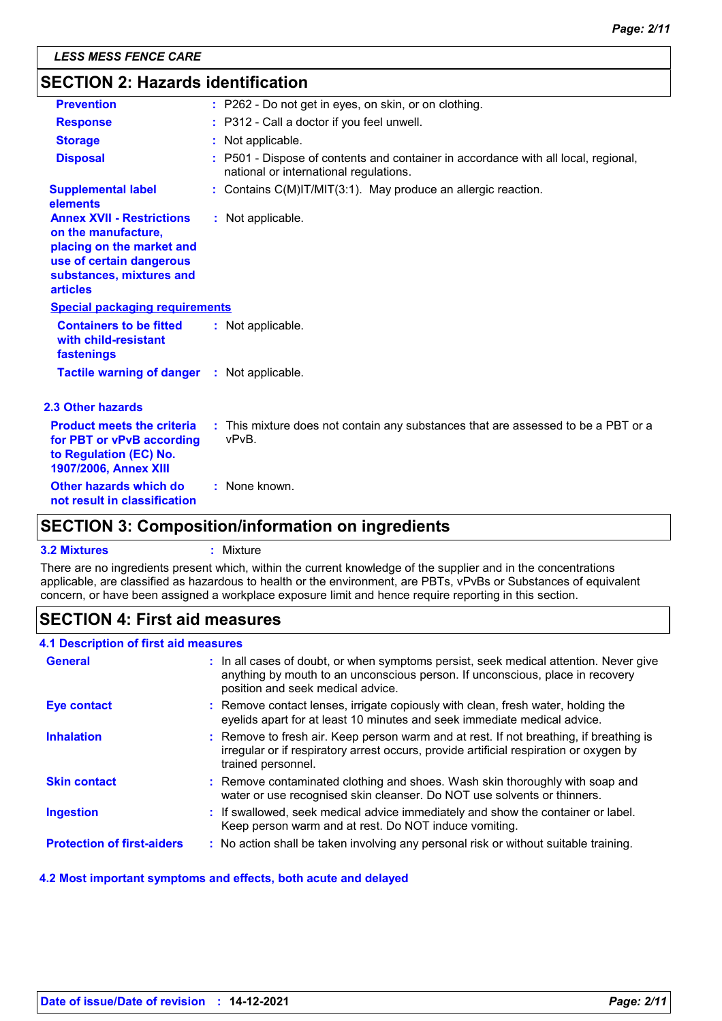| <b>SECTION 2: Hazards identification</b>                                                                                     |  |  |
|------------------------------------------------------------------------------------------------------------------------------|--|--|
| : P262 - Do not get in eyes, on skin, or on clothing.                                                                        |  |  |
| : P312 - Call a doctor if you feel unwell.                                                                                   |  |  |
| : Not applicable.                                                                                                            |  |  |
| : P501 - Dispose of contents and container in accordance with all local, regional,<br>national or international regulations. |  |  |
| : Contains C(M)IT/MIT(3:1). May produce an allergic reaction.                                                                |  |  |
| : Not applicable.                                                                                                            |  |  |
| <b>Special packaging requirements</b>                                                                                        |  |  |
| : Not applicable.                                                                                                            |  |  |
| : Not applicable.                                                                                                            |  |  |
|                                                                                                                              |  |  |
| : This mixture does not contain any substances that are assessed to be a PBT or a<br>vPvB.                                   |  |  |
| : None known.                                                                                                                |  |  |
|                                                                                                                              |  |  |

### **SECTION 3: Composition/information on ingredients**

#### **3.2 Mixtures :** Mixture

There are no ingredients present which, within the current knowledge of the supplier and in the concentrations applicable, are classified as hazardous to health or the environment, are PBTs, vPvBs or Substances of equivalent concern, or have been assigned a workplace exposure limit and hence require reporting in this section.

### **SECTION 4: First aid measures**

### **4.1 Description of first aid measures**

| <b>General</b>                    | : In all cases of doubt, or when symptoms persist, seek medical attention. Never give<br>anything by mouth to an unconscious person. If unconscious, place in recovery<br>position and seek medical advice. |
|-----------------------------------|-------------------------------------------------------------------------------------------------------------------------------------------------------------------------------------------------------------|
| <b>Eye contact</b>                | : Remove contact lenses, irrigate copiously with clean, fresh water, holding the<br>eyelids apart for at least 10 minutes and seek immediate medical advice.                                                |
| <b>Inhalation</b>                 | : Remove to fresh air. Keep person warm and at rest. If not breathing, if breathing is<br>irregular or if respiratory arrest occurs, provide artificial respiration or oxygen by<br>trained personnel.      |
| <b>Skin contact</b>               | : Remove contaminated clothing and shoes. Wash skin thoroughly with soap and<br>water or use recognised skin cleanser. Do NOT use solvents or thinners.                                                     |
| <b>Ingestion</b>                  | : If swallowed, seek medical advice immediately and show the container or label.<br>Keep person warm and at rest. Do NOT induce vomiting.                                                                   |
| <b>Protection of first-aiders</b> | : No action shall be taken involving any personal risk or without suitable training.                                                                                                                        |

### **4.2 Most important symptoms and effects, both acute and delayed**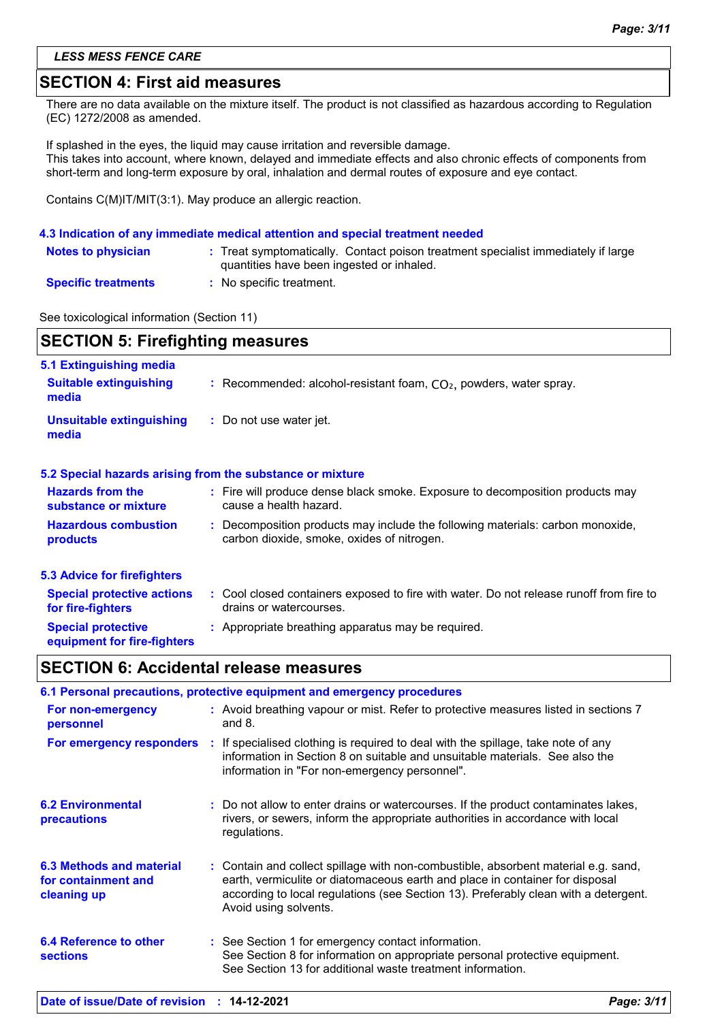### **SECTION 4: First aid measures**

There are no data available on the mixture itself. The product is not classified as hazardous according to Regulation (EC) 1272/2008 as amended.

If splashed in the eyes, the liquid may cause irritation and reversible damage. This takes into account, where known, delayed and immediate effects and also chronic effects of components from short-term and long-term exposure by oral, inhalation and dermal routes of exposure and eye contact.

Contains C(M)IT/MIT(3:1). May produce an allergic reaction.

#### **4.3 Indication of any immediate medical attention and special treatment needed**

| <b>Notes to physician</b>  | : Treat symptomatically. Contact poison treatment specialist immediately if large<br>quantities have been ingested or inhaled. |
|----------------------------|--------------------------------------------------------------------------------------------------------------------------------|
| <b>Specific treatments</b> | No specific treatment.                                                                                                         |

See toxicological information (Section 11)

| <b>SECTION 5: Firefighting measures</b>                |                                                                                                                              |  |
|--------------------------------------------------------|------------------------------------------------------------------------------------------------------------------------------|--|
| 5.1 Extinguishing media                                |                                                                                                                              |  |
| <b>Suitable extinguishing</b><br>media                 | : Recommended: alcohol-resistant foam, $CO2$ , powders, water spray.                                                         |  |
| <b>Unsuitable extinguishing</b><br>media               | : Do not use water jet.                                                                                                      |  |
|                                                        | 5.2 Special hazards arising from the substance or mixture                                                                    |  |
| <b>Hazards from the</b><br>substance or mixture        | : Fire will produce dense black smoke. Exposure to decomposition products may<br>cause a health hazard.                      |  |
| <b>Hazardous combustion</b><br>products                | : Decomposition products may include the following materials: carbon monoxide,<br>carbon dioxide, smoke, oxides of nitrogen. |  |
| 5.3 Advice for firefighters                            |                                                                                                                              |  |
| <b>Special protective actions</b><br>for fire-fighters | : Cool closed containers exposed to fire with water. Do not release runoff from fire to<br>drains or watercourses.           |  |

#### **Special protective equipment for fire-fighters :** Appropriate breathing apparatus may be required.

### **SECTION 6: Accidental release measures**

|                                                                | 6.1 Personal precautions, protective equipment and emergency procedures                                                                                                                                                                                                            |
|----------------------------------------------------------------|------------------------------------------------------------------------------------------------------------------------------------------------------------------------------------------------------------------------------------------------------------------------------------|
| For non-emergency<br>personnel                                 | : Avoid breathing vapour or mist. Refer to protective measures listed in sections 7<br>and $8.$                                                                                                                                                                                    |
|                                                                | For emergency responders : If specialised clothing is required to deal with the spillage, take note of any<br>information in Section 8 on suitable and unsuitable materials. See also the<br>information in "For non-emergency personnel".                                         |
| <b>6.2 Environmental</b><br>precautions                        | : Do not allow to enter drains or watercourses. If the product contaminates lakes,<br>rivers, or sewers, inform the appropriate authorities in accordance with local<br>regulations.                                                                                               |
| 6.3 Methods and material<br>for containment and<br>cleaning up | : Contain and collect spillage with non-combustible, absorbent material e.g. sand,<br>earth, vermiculite or diatomaceous earth and place in container for disposal<br>according to local regulations (see Section 13). Preferably clean with a detergent.<br>Avoid using solvents. |
| <b>6.4 Reference to other</b><br><b>sections</b>               | : See Section 1 for emergency contact information.<br>See Section 8 for information on appropriate personal protective equipment.<br>See Section 13 for additional waste treatment information.                                                                                    |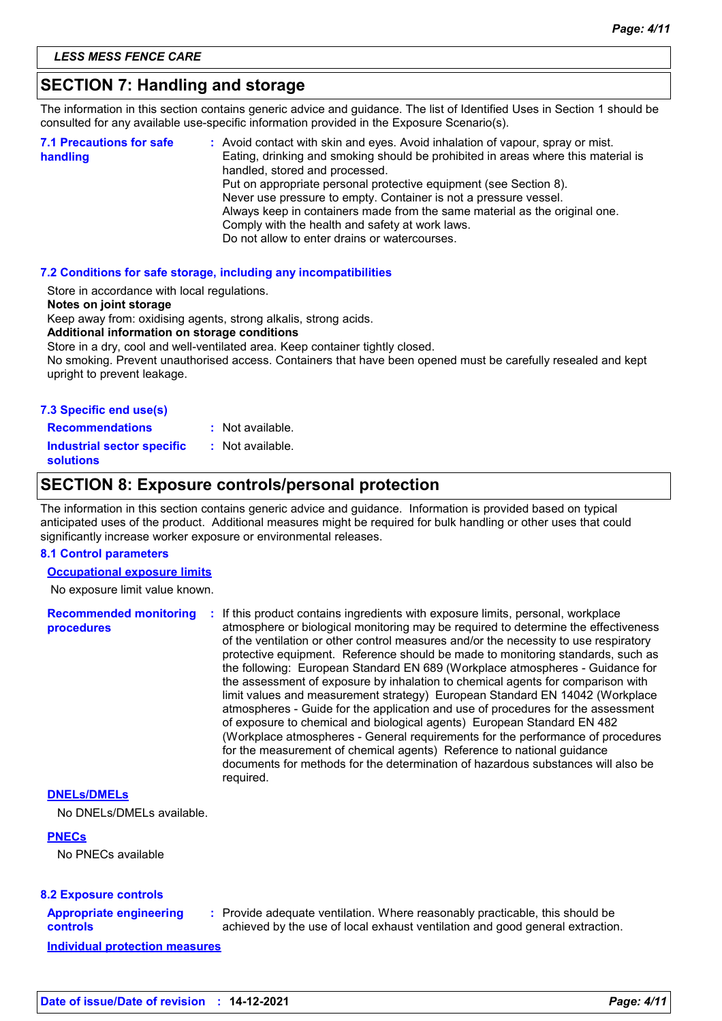### **SECTION 7: Handling and storage**

The information in this section contains generic advice and guidance. The list of Identified Uses in Section 1 should be consulted for any available use-specific information provided in the Exposure Scenario(s).

| <b>7.1 Precautions for safe</b><br>handling | : Avoid contact with skin and eyes. Avoid inhalation of vapour, spray or mist.<br>Eating, drinking and smoking should be prohibited in areas where this material is<br>handled, stored and processed.<br>Put on appropriate personal protective equipment (see Section 8).<br>Never use pressure to empty. Container is not a pressure vessel.<br>Always keep in containers made from the same material as the original one.<br>Comply with the health and safety at work laws.<br>Do not allow to enter drains or watercourses. |
|---------------------------------------------|----------------------------------------------------------------------------------------------------------------------------------------------------------------------------------------------------------------------------------------------------------------------------------------------------------------------------------------------------------------------------------------------------------------------------------------------------------------------------------------------------------------------------------|
|                                             |                                                                                                                                                                                                                                                                                                                                                                                                                                                                                                                                  |

#### **7.2 Conditions for safe storage, including any incompatibilities**

Store in accordance with local regulations.

#### **Notes on joint storage**

Keep away from: oxidising agents, strong alkalis, strong acids.

#### **Additional information on storage conditions**

Store in a dry, cool and well-ventilated area. Keep container tightly closed.

No smoking. Prevent unauthorised access. Containers that have been opened must be carefully resealed and kept upright to prevent leakage.

| 7.3 Specific end use(s) |
|-------------------------|
|-------------------------|

**Recommendations : Industrial sector specific : solutions** : Not available. : Not available.

### **SECTION 8: Exposure controls/personal protection**

The information in this section contains generic advice and guidance. Information is provided based on typical anticipated uses of the product. Additional measures might be required for bulk handling or other uses that could significantly increase worker exposure or environmental releases.

#### **8.1 Control parameters**

**Occupational exposure limits**

No exposure limit value known.

**Recommended monitoring procedures :** If this product contains ingredients with exposure limits, personal, workplace atmosphere or biological monitoring may be required to determine the effectiveness of the ventilation or other control measures and/or the necessity to use respiratory protective equipment. Reference should be made to monitoring standards, such as the following: European Standard EN 689 (Workplace atmospheres - Guidance for the assessment of exposure by inhalation to chemical agents for comparison with limit values and measurement strategy) European Standard EN 14042 (Workplace atmospheres - Guide for the application and use of procedures for the assessment of exposure to chemical and biological agents) European Standard EN 482 (Workplace atmospheres - General requirements for the performance of procedures for the measurement of chemical agents) Reference to national guidance documents for methods for the determination of hazardous substances will also be required.

#### **DNELs/DMELs**

No DNELs/DMELs available.

#### **PNECs**

No PNECs available

#### **8.2 Exposure controls**

### **Appropriate engineering controls**

**:** Provide adequate ventilation. Where reasonably practicable, this should be achieved by the use of local exhaust ventilation and good general extraction.

**Individual protection measures**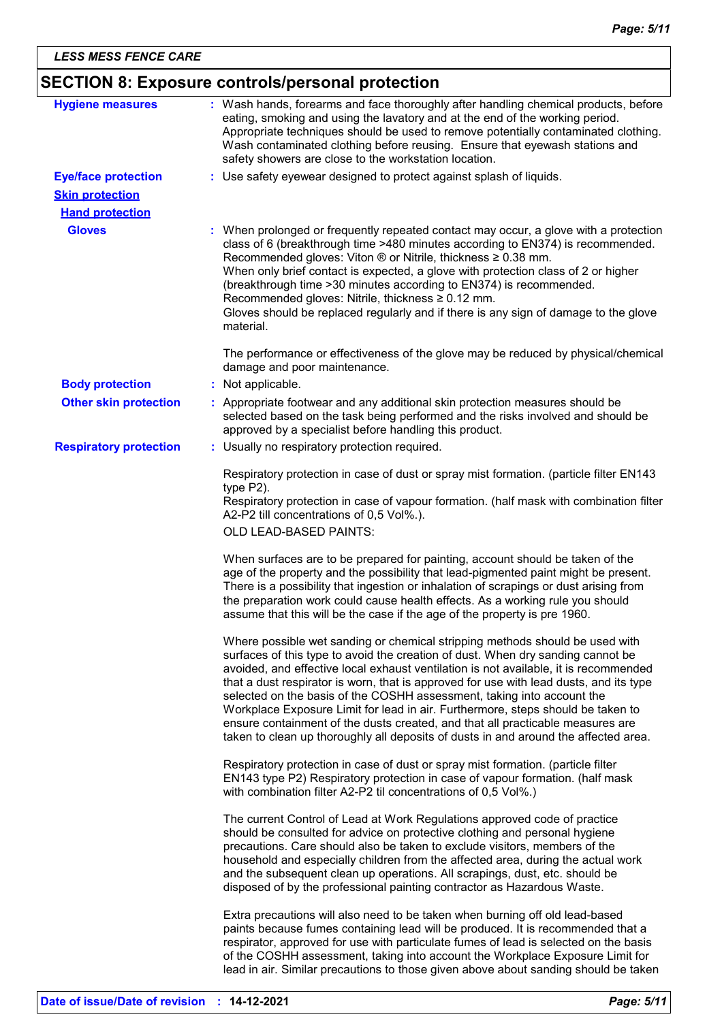## **SECTION 8: Exposure controls/personal protection**

| <b>Hygiene measures</b>                          | : Wash hands, forearms and face thoroughly after handling chemical products, before<br>eating, smoking and using the lavatory and at the end of the working period.<br>Appropriate techniques should be used to remove potentially contaminated clothing.<br>Wash contaminated clothing before reusing. Ensure that eyewash stations and<br>safety showers are close to the workstation location.                                                                                                                                                                                                                                                                                       |
|--------------------------------------------------|-----------------------------------------------------------------------------------------------------------------------------------------------------------------------------------------------------------------------------------------------------------------------------------------------------------------------------------------------------------------------------------------------------------------------------------------------------------------------------------------------------------------------------------------------------------------------------------------------------------------------------------------------------------------------------------------|
| <b>Eye/face protection</b>                       | : Use safety eyewear designed to protect against splash of liquids.                                                                                                                                                                                                                                                                                                                                                                                                                                                                                                                                                                                                                     |
| <b>Skin protection</b><br><b>Hand protection</b> |                                                                                                                                                                                                                                                                                                                                                                                                                                                                                                                                                                                                                                                                                         |
| <b>Gloves</b>                                    | : When prolonged or frequently repeated contact may occur, a glove with a protection<br>class of 6 (breakthrough time >480 minutes according to EN374) is recommended.<br>Recommended gloves: Viton ® or Nitrile, thickness ≥ 0.38 mm.<br>When only brief contact is expected, a glove with protection class of 2 or higher<br>(breakthrough time > 30 minutes according to EN374) is recommended.<br>Recommended gloves: Nitrile, thickness ≥ 0.12 mm.<br>Gloves should be replaced regularly and if there is any sign of damage to the glove<br>material.                                                                                                                             |
|                                                  | The performance or effectiveness of the glove may be reduced by physical/chemical<br>damage and poor maintenance.                                                                                                                                                                                                                                                                                                                                                                                                                                                                                                                                                                       |
| <b>Body protection</b>                           | : Not applicable.                                                                                                                                                                                                                                                                                                                                                                                                                                                                                                                                                                                                                                                                       |
| <b>Other skin protection</b>                     | : Appropriate footwear and any additional skin protection measures should be<br>selected based on the task being performed and the risks involved and should be<br>approved by a specialist before handling this product.                                                                                                                                                                                                                                                                                                                                                                                                                                                               |
| <b>Respiratory protection</b>                    | : Usually no respiratory protection required.                                                                                                                                                                                                                                                                                                                                                                                                                                                                                                                                                                                                                                           |
|                                                  | Respiratory protection in case of dust or spray mist formation. (particle filter EN143<br>type $P2$ ).                                                                                                                                                                                                                                                                                                                                                                                                                                                                                                                                                                                  |
|                                                  | Respiratory protection in case of vapour formation. (half mask with combination filter<br>A2-P2 till concentrations of 0,5 Vol%.).                                                                                                                                                                                                                                                                                                                                                                                                                                                                                                                                                      |
|                                                  | OLD LEAD-BASED PAINTS:                                                                                                                                                                                                                                                                                                                                                                                                                                                                                                                                                                                                                                                                  |
|                                                  | When surfaces are to be prepared for painting, account should be taken of the<br>age of the property and the possibility that lead-pigmented paint might be present.<br>There is a possibility that ingestion or inhalation of scrapings or dust arising from<br>the preparation work could cause health effects. As a working rule you should<br>assume that this will be the case if the age of the property is pre 1960.                                                                                                                                                                                                                                                             |
|                                                  | Where possible wet sanding or chemical stripping methods should be used with<br>surfaces of this type to avoid the creation of dust. When dry sanding cannot be<br>avoided, and effective local exhaust ventilation is not available, it is recommended<br>that a dust respirator is worn, that is approved for use with lead dusts, and its type<br>selected on the basis of the COSHH assessment, taking into account the<br>Workplace Exposure Limit for lead in air. Furthermore, steps should be taken to<br>ensure containment of the dusts created, and that all practicable measures are<br>taken to clean up thoroughly all deposits of dusts in and around the affected area. |
|                                                  | Respiratory protection in case of dust or spray mist formation. (particle filter<br>EN143 type P2) Respiratory protection in case of vapour formation. (half mask<br>with combination filter A2-P2 til concentrations of 0,5 Vol%.)                                                                                                                                                                                                                                                                                                                                                                                                                                                     |
|                                                  | The current Control of Lead at Work Regulations approved code of practice<br>should be consulted for advice on protective clothing and personal hygiene<br>precautions. Care should also be taken to exclude visitors, members of the<br>household and especially children from the affected area, during the actual work<br>and the subsequent clean up operations. All scrapings, dust, etc. should be<br>disposed of by the professional painting contractor as Hazardous Waste.                                                                                                                                                                                                     |
|                                                  | Extra precautions will also need to be taken when burning off old lead-based<br>paints because fumes containing lead will be produced. It is recommended that a<br>respirator, approved for use with particulate fumes of lead is selected on the basis<br>of the COSHH assessment, taking into account the Workplace Exposure Limit for<br>lead in air. Similar precautions to those given above about sanding should be taken                                                                                                                                                                                                                                                         |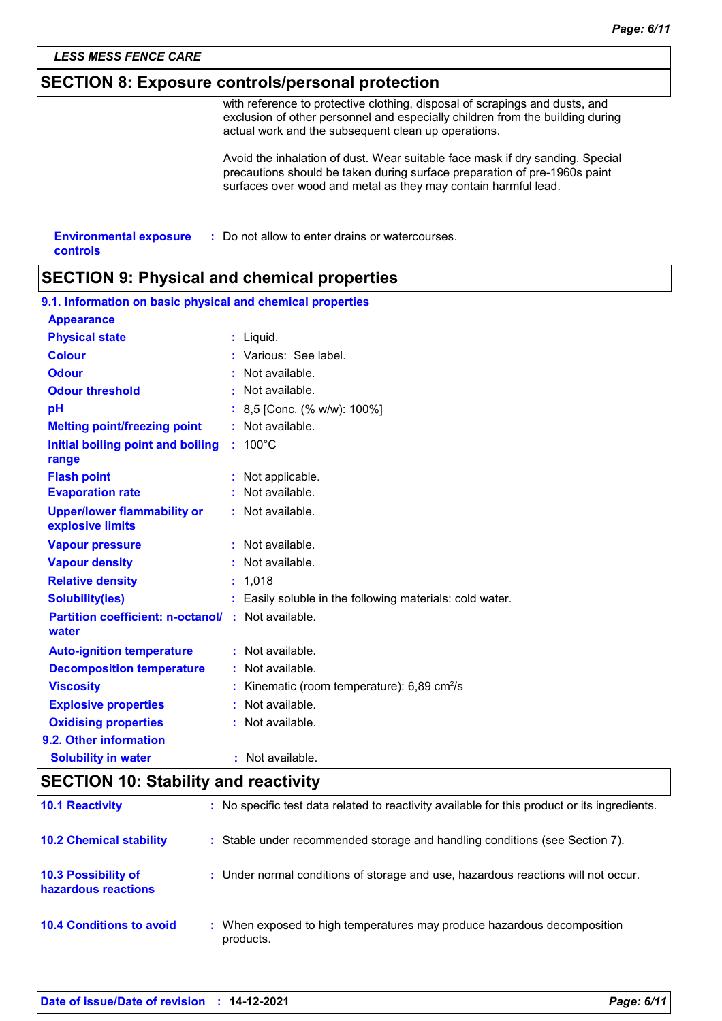### *LESS MESS FENCE CARE*

### **SECTION 8: Exposure controls/personal protection**

with reference to protective clothing, disposal of scrapings and dusts, and exclusion of other personnel and especially children from the building during actual work and the subsequent clean up operations.

Avoid the inhalation of dust. Wear suitable face mask if dry sanding. Special precautions should be taken during surface preparation of pre-1960s paint surfaces over wood and metal as they may contain harmful lead.

| <b>Environmental exposure</b> | : Do not allow to enter drains or watercourses. |
|-------------------------------|-------------------------------------------------|
| controls                      |                                                 |

### **SECTION 9: Physical and chemical properties**

| 9.1. Information on basic physical and chemical properties |                                                          |
|------------------------------------------------------------|----------------------------------------------------------|
| <b>Appearance</b>                                          |                                                          |
| <b>Physical state</b>                                      | : Liquid.                                                |
| <b>Colour</b>                                              | : Various: See label.                                    |
| <b>Odour</b>                                               | : Not available.                                         |
| <b>Odour threshold</b>                                     | : Not available.                                         |
| pH                                                         | : 8,5 [Conc. (% w/w): 100%]                              |
| <b>Melting point/freezing point</b>                        | : Not available.                                         |
| Initial boiling point and boiling<br>range                 | : 100°C                                                  |
| <b>Flash point</b>                                         | : Not applicable.                                        |
| <b>Evaporation rate</b>                                    | : Not available.                                         |
| <b>Upper/lower flammability or</b><br>explosive limits     | : Not available.                                         |
| <b>Vapour pressure</b>                                     | : Not available.                                         |
| <b>Vapour density</b>                                      | : Not available.                                         |
| <b>Relative density</b>                                    | : 1,018                                                  |
| <b>Solubility(ies)</b>                                     | : Easily soluble in the following materials: cold water. |
| <b>Partition coefficient: n-octanol/</b><br>water          | : Not available.                                         |
| <b>Auto-ignition temperature</b>                           | : Not available.                                         |
| <b>Decomposition temperature</b>                           | : Not available.                                         |
| <b>Viscosity</b>                                           | Kinematic (room temperature): 6,89 cm <sup>2</sup> /s    |
| <b>Explosive properties</b>                                | : Not available.                                         |
| <b>Oxidising properties</b>                                | : Not available.                                         |
| 9.2. Other information                                     |                                                          |
| <b>Solubility in water</b>                                 | : Not available.                                         |

### **SECTION 10: Stability and reactivity**

| <b>10.1 Reactivity</b>                            | : No specific test data related to reactivity available for this product or its ingredients. |
|---------------------------------------------------|----------------------------------------------------------------------------------------------|
| <b>10.2 Chemical stability</b>                    | : Stable under recommended storage and handling conditions (see Section 7).                  |
| <b>10.3 Possibility of</b><br>hazardous reactions | : Under normal conditions of storage and use, hazardous reactions will not occur.            |
| <b>10.4 Conditions to avoid</b>                   | : When exposed to high temperatures may produce hazardous decomposition<br>products.         |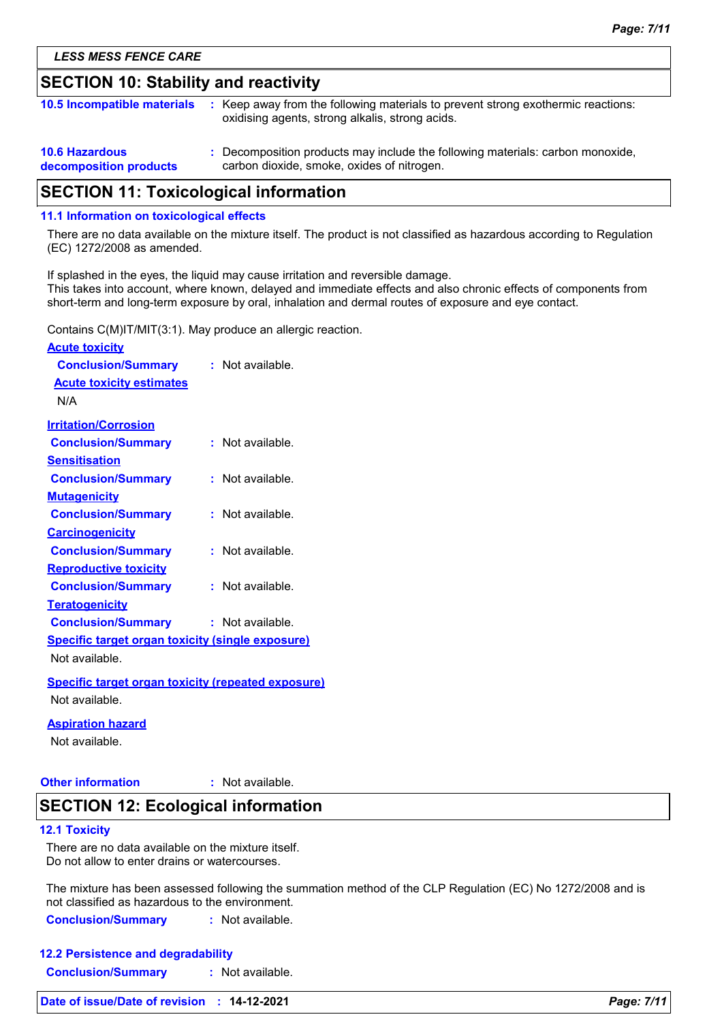### **SECTION 10: Stability and reactivity**

| <b>10.5 Incompatible materials</b>              | : Keep away from the following materials to prevent strong exothermic reactions:<br>oxidising agents, strong alkalis, strong acids. |
|-------------------------------------------------|-------------------------------------------------------------------------------------------------------------------------------------|
| <b>10.6 Hazardous</b><br>decomposition products | : Decomposition products may include the following materials: carbon monoxide,<br>carbon dioxide, smoke, oxides of nitrogen.        |

### **SECTION 11: Toxicological information**

#### **11.1 Information on toxicological effects**

There are no data available on the mixture itself. The product is not classified as hazardous according to Regulation (EC) 1272/2008 as amended.

If splashed in the eyes, the liquid may cause irritation and reversible damage. This takes into account, where known, delayed and immediate effects and also chronic effects of components from short-term and long-term exposure by oral, inhalation and dermal routes of exposure and eye contact.

Contains C(M)IT/MIT(3:1). May produce an allergic reaction.

| <b>Acute toxicity</b>                                     |                    |
|-----------------------------------------------------------|--------------------|
| <b>Conclusion/Summary</b>                                 | $:$ Not available  |
| <b>Acute toxicity estimates</b>                           |                    |
| N/A                                                       |                    |
| <b>Irritation/Corrosion</b>                               |                    |
| <b>Conclusion/Summary</b>                                 | $:$ Not available  |
| <b>Sensitisation</b>                                      |                    |
| <b>Conclusion/Summary</b>                                 | $:$ Not available. |
| <b>Mutagenicity</b>                                       |                    |
| <b>Conclusion/Summary</b>                                 | : Not available.   |
| <b>Carcinogenicity</b>                                    |                    |
| <b>Conclusion/Summary</b>                                 | $:$ Not available  |
| <b>Reproductive toxicity</b>                              |                    |
| <b>Conclusion/Summary</b>                                 | : Not available.   |
| <b>Teratogenicity</b>                                     |                    |
| <b>Conclusion/Summary</b>                                 | $:$ Not available. |
| <b>Specific target organ toxicity (single exposure)</b>   |                    |
| Not available.                                            |                    |
| <b>Specific target organ toxicity (repeated exposure)</b> |                    |
| Not available.                                            |                    |
| <b>Aspiration hazard</b>                                  |                    |
| Not available.                                            |                    |

#### **Other information :** : Not available.

### **SECTION 12: Ecological information**

#### **12.1 Toxicity**

There are no data available on the mixture itself. Do not allow to enter drains or watercourses.

The mixture has been assessed following the summation method of the CLP Regulation (EC) No 1272/2008 and is not classified as hazardous to the environment.

**Conclusion/Summary :** Not available.

| <b>12.2 Persistence and degradability</b> |                  |  |
|-------------------------------------------|------------------|--|
| <b>Conclusion/Summary</b>                 | : Not available. |  |

| Date of issue/Date of revision : 14-12-2021 | Page: 7/11 |
|---------------------------------------------|------------|
|---------------------------------------------|------------|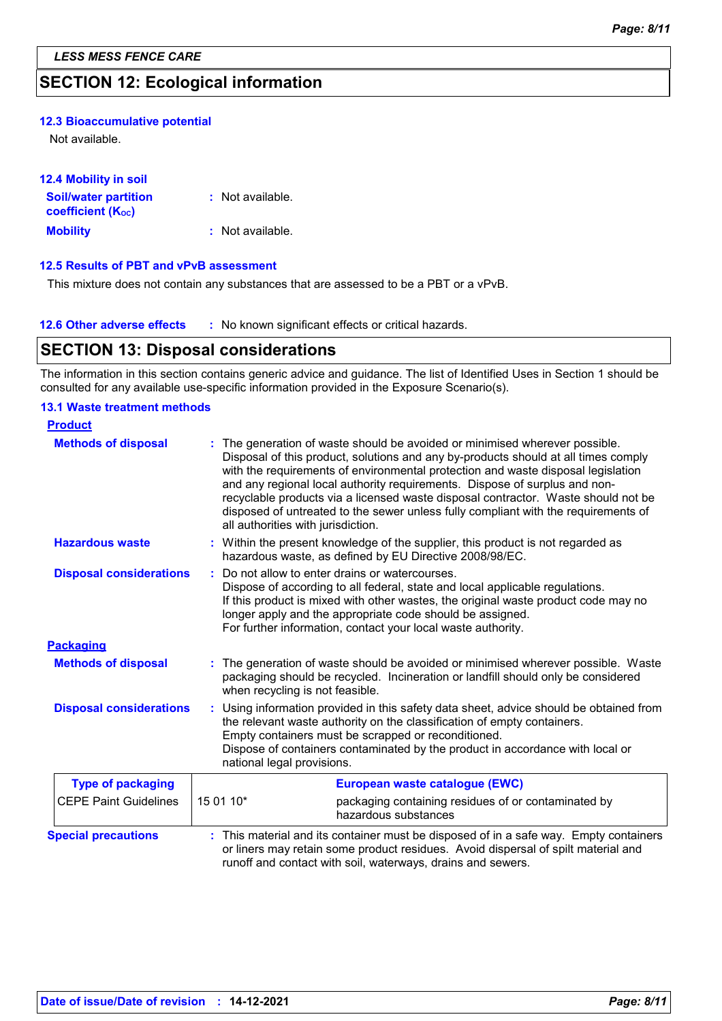### **SECTION 12: Ecological information**

#### **12.3 Bioaccumulative potential**

Not available.

| <b>12.4 Mobility in soil</b>          |                  |
|---------------------------------------|------------------|
| <b>Soil/water partition</b>           | : Not available. |
| <b>coefficient</b> (K <sub>oc</sub> ) |                  |
| <b>Mobility</b>                       | : Not available. |

#### **12.5 Results of PBT and vPvB assessment**

This mixture does not contain any substances that are assessed to be a PBT or a vPvB.

| <b>12.6 Other adverse effects</b> | * No known significant effects or critical hazards. |
|-----------------------------------|-----------------------------------------------------|
|-----------------------------------|-----------------------------------------------------|

### **SECTION 13: Disposal considerations**

The information in this section contains generic advice and guidance. The list of Identified Uses in Section 1 should be consulted for any available use-specific information provided in the Exposure Scenario(s).

#### **13.1 Waste treatment methods**

| <b>Product</b>                 |           |                                                                                                                                                                                                                                                                                                                                                                                                                                                                                                                                                    |
|--------------------------------|-----------|----------------------------------------------------------------------------------------------------------------------------------------------------------------------------------------------------------------------------------------------------------------------------------------------------------------------------------------------------------------------------------------------------------------------------------------------------------------------------------------------------------------------------------------------------|
| <b>Methods of disposal</b>     |           | The generation of waste should be avoided or minimised wherever possible.<br>Disposal of this product, solutions and any by-products should at all times comply<br>with the requirements of environmental protection and waste disposal legislation<br>and any regional local authority requirements. Dispose of surplus and non-<br>recyclable products via a licensed waste disposal contractor. Waste should not be<br>disposed of untreated to the sewer unless fully compliant with the requirements of<br>all authorities with jurisdiction. |
| <b>Hazardous waste</b>         |           | : Within the present knowledge of the supplier, this product is not regarded as<br>hazardous waste, as defined by EU Directive 2008/98/EC.                                                                                                                                                                                                                                                                                                                                                                                                         |
| <b>Disposal considerations</b> |           | Do not allow to enter drains or watercourses.<br>Dispose of according to all federal, state and local applicable regulations.<br>If this product is mixed with other wastes, the original waste product code may no<br>longer apply and the appropriate code should be assigned.<br>For further information, contact your local waste authority.                                                                                                                                                                                                   |
| <b>Packaging</b>               |           |                                                                                                                                                                                                                                                                                                                                                                                                                                                                                                                                                    |
| <b>Methods of disposal</b>     |           | The generation of waste should be avoided or minimised wherever possible. Waste<br>packaging should be recycled. Incineration or landfill should only be considered<br>when recycling is not feasible.                                                                                                                                                                                                                                                                                                                                             |
| <b>Disposal considerations</b> |           | Using information provided in this safety data sheet, advice should be obtained from<br>the relevant waste authority on the classification of empty containers.<br>Empty containers must be scrapped or reconditioned.<br>Dispose of containers contaminated by the product in accordance with local or<br>national legal provisions.                                                                                                                                                                                                              |
| <b>Type of packaging</b>       |           | European waste catalogue (EWC)                                                                                                                                                                                                                                                                                                                                                                                                                                                                                                                     |
| <b>CEPE Paint Guidelines</b>   | 15 01 10* | packaging containing residues of or contaminated by<br>hazardous substances                                                                                                                                                                                                                                                                                                                                                                                                                                                                        |
| <b>Special precautions</b>     |           | : This material and its container must be disposed of in a safe way. Empty containers<br>or liners may retain some product residues. Avoid dispersal of spilt material and<br>runoff and contact with soil, waterways, drains and sewers.                                                                                                                                                                                                                                                                                                          |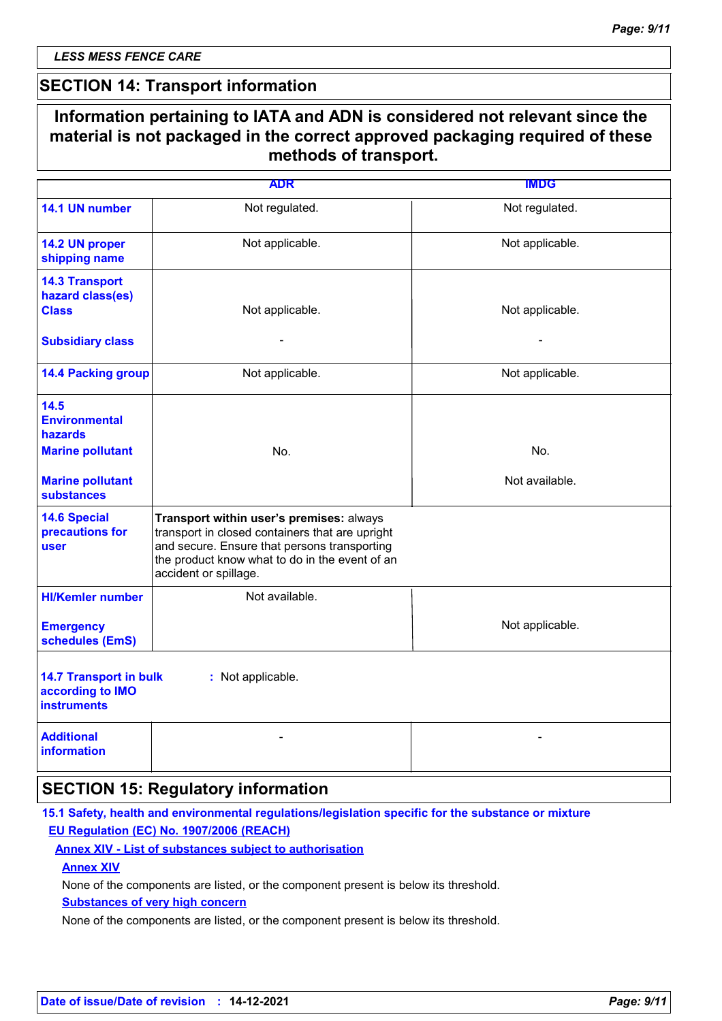*LESS MESS FENCE CARE*

### **SECTION 14: Transport information**

### **Information pertaining to IATA and ADN is considered not relevant since the material is not packaged in the correct approved packaging required of these methods of transport.**

|                                                                         | <b>ADR</b>                                                                                                                                                                                                             | <b>IMDG</b>     |
|-------------------------------------------------------------------------|------------------------------------------------------------------------------------------------------------------------------------------------------------------------------------------------------------------------|-----------------|
| 14.1 UN number                                                          | Not regulated.                                                                                                                                                                                                         | Not regulated.  |
| 14.2 UN proper<br>shipping name                                         | Not applicable.                                                                                                                                                                                                        | Not applicable. |
| <b>14.3 Transport</b><br>hazard class(es)<br><b>Class</b>               | Not applicable.                                                                                                                                                                                                        | Not applicable. |
| <b>Subsidiary class</b>                                                 | $\blacksquare$                                                                                                                                                                                                         | $\blacksquare$  |
| <b>14.4 Packing group</b>                                               | Not applicable.                                                                                                                                                                                                        | Not applicable. |
| 14.5<br><b>Environmental</b><br><b>hazards</b>                          |                                                                                                                                                                                                                        |                 |
| <b>Marine pollutant</b>                                                 | No.                                                                                                                                                                                                                    | No.             |
| <b>Marine pollutant</b><br><b>substances</b>                            |                                                                                                                                                                                                                        | Not available.  |
| <b>14.6 Special</b><br>precautions for<br>user                          | Transport within user's premises: always<br>transport in closed containers that are upright<br>and secure. Ensure that persons transporting<br>the product know what to do in the event of an<br>accident or spillage. |                 |
| <b>HI/Kemler number</b>                                                 | Not available.                                                                                                                                                                                                         |                 |
| <b>Emergency</b><br>schedules (EmS)                                     |                                                                                                                                                                                                                        | Not applicable. |
| <b>14.7 Transport in bulk</b><br>according to IMO<br><b>instruments</b> | : Not applicable.                                                                                                                                                                                                      |                 |
| <b>Additional</b><br><b>information</b>                                 |                                                                                                                                                                                                                        |                 |

### **SECTION 15: Regulatory information**

### **15.1 Safety, health and environmental regulations/legislation specific for the substance or mixture EU Regulation (EC) No. 1907/2006 (REACH)**

### **Annex XIV - List of substances subject to authorisation**

**Annex XIV**

None of the components are listed, or the component present is below its threshold.

**Substances of very high concern**

None of the components are listed, or the component present is below its threshold.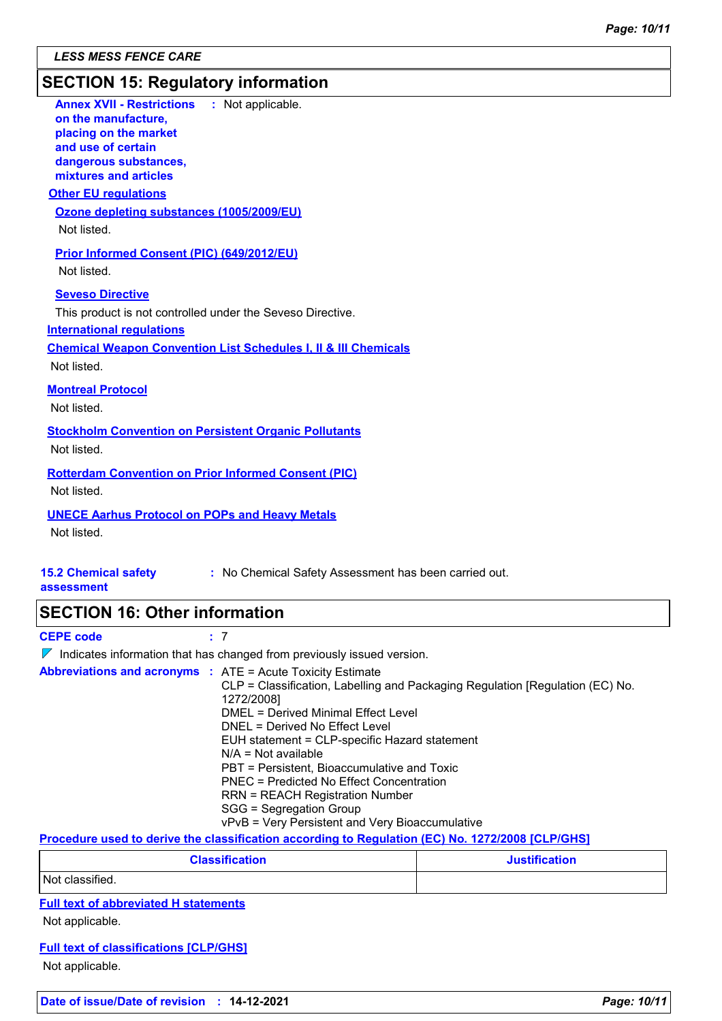### **SECTION 15: Regulatory information**

| <b>Annex XVII - Restrictions</b><br>: Not applicable.<br>on the manufacture,<br>placing on the market<br>and use of certain<br>dangerous substances,<br>mixtures and articles<br><b>Other EU regulations</b>           |
|------------------------------------------------------------------------------------------------------------------------------------------------------------------------------------------------------------------------|
| Ozone depleting substances (1005/2009/EU)<br>Not listed.                                                                                                                                                               |
| <b>Prior Informed Consent (PIC) (649/2012/EU)</b><br>Not listed.                                                                                                                                                       |
| <b>Seveso Directive</b><br>This product is not controlled under the Seveso Directive.<br><b>International regulations</b><br><b>Chemical Weapon Convention List Schedules I, II &amp; III Chemicals</b><br>Not listed. |
| <b>Montreal Protocol</b><br>Not listed.                                                                                                                                                                                |
| <b>Stockholm Convention on Persistent Organic Pollutants</b><br>Not listed.                                                                                                                                            |
| <b>Rotterdam Convention on Prior Informed Consent (PIC)</b><br>Not listed.                                                                                                                                             |
| <b>UNECE Aarhus Protocol on POPs and Heavy Metals</b><br>Not listed.                                                                                                                                                   |
| <b>15.2 Chemical safety</b><br>: No Chemical Safety Assessment has been carried out.<br>assessment                                                                                                                     |
|                                                                                                                                                                                                                        |

# **SECTION 16: Other information**

**CEPE code :** 7  $\nabla$  Indicates information that has changed from previously issued version. **Abbreviations and acronyms :** ATE = Acute Toxicity Estimate CLP = Classification, Labelling and Packaging Regulation [Regulation (EC) No. 1272/2008] DMEL = Derived Minimal Effect Level DNEL = Derived No Effect Level EUH statement = CLP-specific Hazard statement N/A = Not available PBT = Persistent, Bioaccumulative and Toxic PNEC = Predicted No Effect Concentration RRN = REACH Registration Number SGG = Segregation Group vPvB = Very Persistent and Very Bioaccumulative

**Procedure used to derive the classification according to Regulation (EC) No. 1272/2008 [CLP/GHS]**

| <b>Classification</b> | <b>Justification</b> |
|-----------------------|----------------------|
| Not classified.       |                      |

**Full text of abbreviated H statements**

Not applicable.

#### **Full text of classifications [CLP/GHS]**

Not applicable.